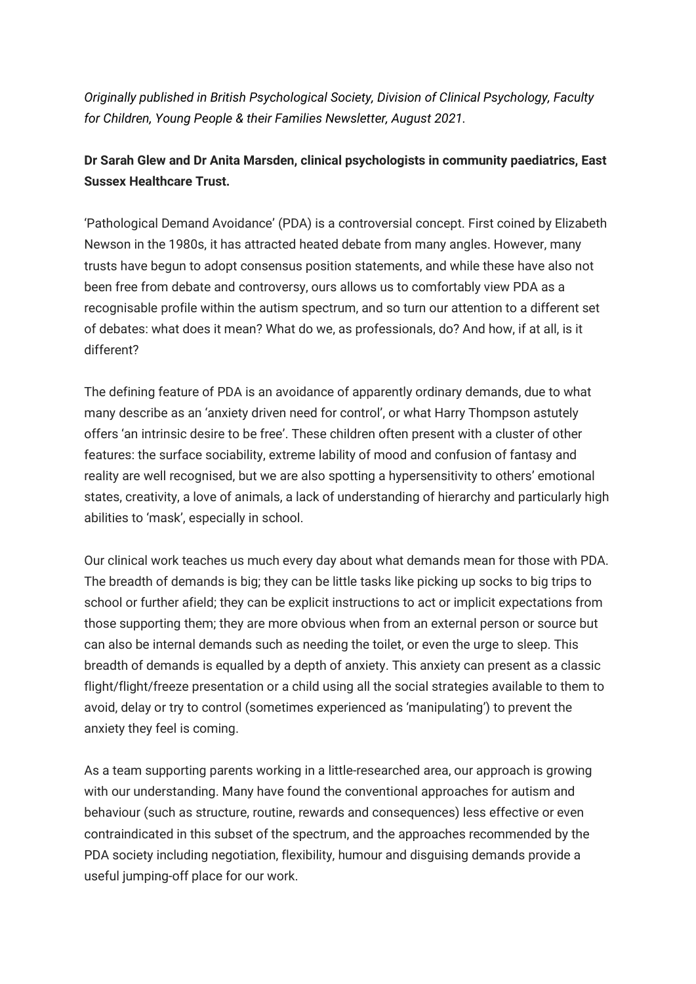*Originally published in British Psychological Society, Division of Clinical Psychology, Faculty for Children, Young People & their Families Newsletter, August 2021.*

## **Dr Sarah Glew and Dr Anita Marsden, clinical psychologists in community paediatrics, East Sussex Healthcare Trust.**

'Pathological Demand Avoidance' (PDA) is a controversial concept. First coined by Elizabeth Newson in the 1980s, it has attracted heated debate from many angles. However, many trusts have begun to adopt consensus position statements, and while these have also not been free from debate and controversy, ours allows us to comfortably view PDA as a recognisable profile within the autism spectrum, and so turn our attention to a different set of debates: what does it mean? What do we, as professionals, do? And how, if at all, is it different?

The defining feature of PDA is an avoidance of apparently ordinary demands, due to what many describe as an 'anxiety driven need for control', or what Harry Thompson astutely offers 'an intrinsic desire to be free'. These children often present with a cluster of other features: the surface sociability, extreme lability of mood and confusion of fantasy and reality are well recognised, but we are also spotting a hypersensitivity to others' emotional states, creativity, a love of animals, a lack of understanding of hierarchy and particularly high abilities to 'mask', especially in school.

Our clinical work teaches us much every day about what demands mean for those with PDA. The breadth of demands is big; they can be little tasks like picking up socks to big trips to school or further afield; they can be explicit instructions to act or implicit expectations from those supporting them; they are more obvious when from an external person or source but can also be internal demands such as needing the toilet, or even the urge to sleep. This breadth of demands is equalled by a depth of anxiety. This anxiety can present as a classic flight/flight/freeze presentation or a child using all the social strategies available to them to avoid, delay or try to control (sometimes experienced as 'manipulating') to prevent the anxiety they feel is coming.

As a team supporting parents working in a little-researched area, our approach is growing with our understanding. Many have found the conventional approaches for autism and behaviour (such as structure, routine, rewards and consequences) less effective or even contraindicated in this subset of the spectrum, and the approaches recommended by the PDA society including negotiation, flexibility, humour and disguising demands provide a useful jumping-off place for our work.